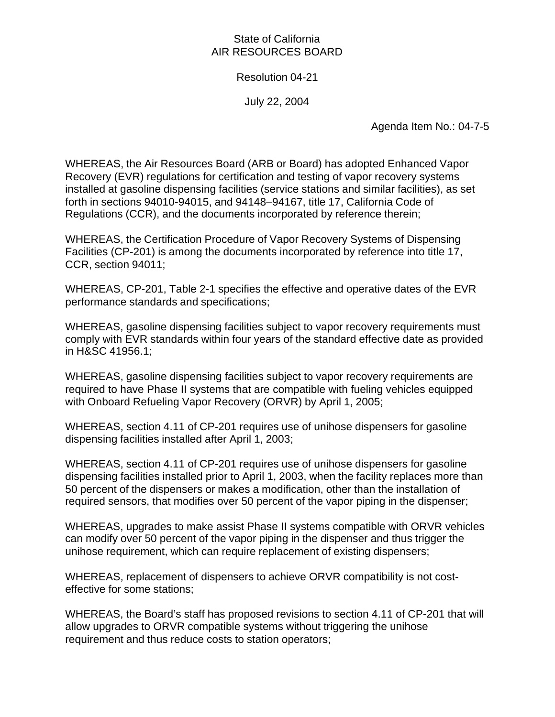## State of California AIR RESOURCES BOARD

## Resolution 04-21

July 22, 2004

Agenda Item No.: 04-7-5

WHEREAS, the Air Resources Board (ARB or Board) has adopted Enhanced Vapor Recovery (EVR) regulations for certification and testing of vapor recovery systems installed at gasoline dispensing facilities (service stations and similar facilities), as set forth in sections 94010-94015, and 94148–94167, title 17, California Code of Regulations (CCR), and the documents incorporated by reference therein;

WHEREAS, the Certification Procedure of Vapor Recovery Systems of Dispensing Facilities (CP-201) is among the documents incorporated by reference into title 17, CCR, section 94011;

WHEREAS, CP-201, Table 2-1 specifies the effective and operative dates of the EVR performance standards and specifications;

WHEREAS, gasoline dispensing facilities subject to vapor recovery requirements must comply with EVR standards within four years of the standard effective date as provided in H&SC 41956.1;

WHEREAS, gasoline dispensing facilities subject to vapor recovery requirements are required to have Phase II systems that are compatible with fueling vehicles equipped with Onboard Refueling Vapor Recovery (ORVR) by April 1, 2005;

WHEREAS, section 4.11 of CP-201 requires use of unihose dispensers for gasoline dispensing facilities installed after April 1, 2003;

WHEREAS, section 4.11 of CP-201 requires use of unihose dispensers for gasoline dispensing facilities installed prior to April 1, 2003, when the facility replaces more than 50 percent of the dispensers or makes a modification, other than the installation of required sensors, that modifies over 50 percent of the vapor piping in the dispenser;

WHEREAS, upgrades to make assist Phase II systems compatible with ORVR vehicles can modify over 50 percent of the vapor piping in the dispenser and thus trigger the unihose requirement, which can require replacement of existing dispensers;

WHEREAS, replacement of dispensers to achieve ORVR compatibility is not costeffective for some stations;

WHEREAS, the Board's staff has proposed revisions to section 4.11 of CP-201 that will allow upgrades to ORVR compatible systems without triggering the unihose requirement and thus reduce costs to station operators;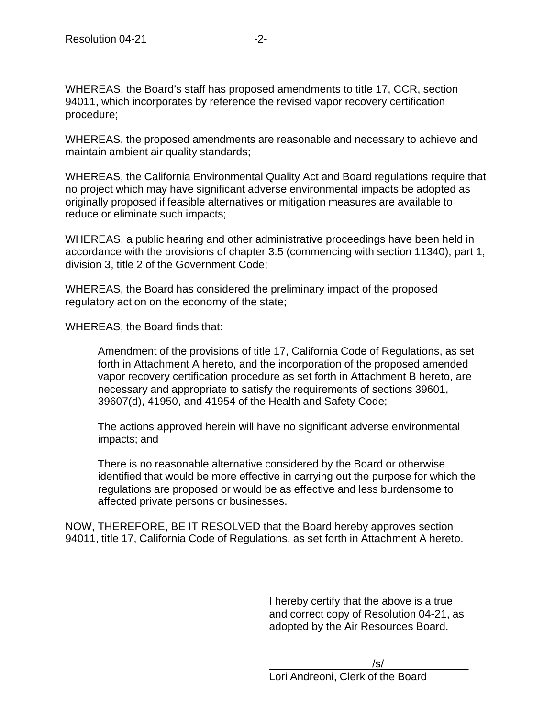WHEREAS, the Board's staff has proposed amendments to title 17, CCR, section 94011, which incorporates by reference the revised vapor recovery certification procedure;

WHEREAS, the proposed amendments are reasonable and necessary to achieve and maintain ambient air quality standards;

WHEREAS, the California Environmental Quality Act and Board regulations require that no project which may have significant adverse environmental impacts be adopted as originally proposed if feasible alternatives or mitigation measures are available to reduce or eliminate such impacts;

WHEREAS, a public hearing and other administrative proceedings have been held in accordance with the provisions of chapter 3.5 (commencing with section 11340), part 1, division 3, title 2 of the Government Code;

WHEREAS, the Board has considered the preliminary impact of the proposed regulatory action on the economy of the state;

WHEREAS, the Board finds that:

Amendment of the provisions of title 17, California Code of Regulations, as set forth in Attachment A hereto, and the incorporation of the proposed amended vapor recovery certification procedure as set forth in Attachment B hereto, are necessary and appropriate to satisfy the requirements of sections 39601, 39607(d), 41950, and 41954 of the Health and Safety Code;

The actions approved herein will have no significant adverse environmental impacts; and

There is no reasonable alternative considered by the Board or otherwise identified that would be more effective in carrying out the purpose for which the regulations are proposed or would be as effective and less burdensome to affected private persons or businesses.

NOW, THEREFORE, BE IT RESOLVED that the Board hereby approves section 94011, title 17, California Code of Regulations, as set forth in Attachment A hereto.

> I hereby certify that the above is a true and correct copy of Resolution 04-21, as adopted by the Air Resources Board.